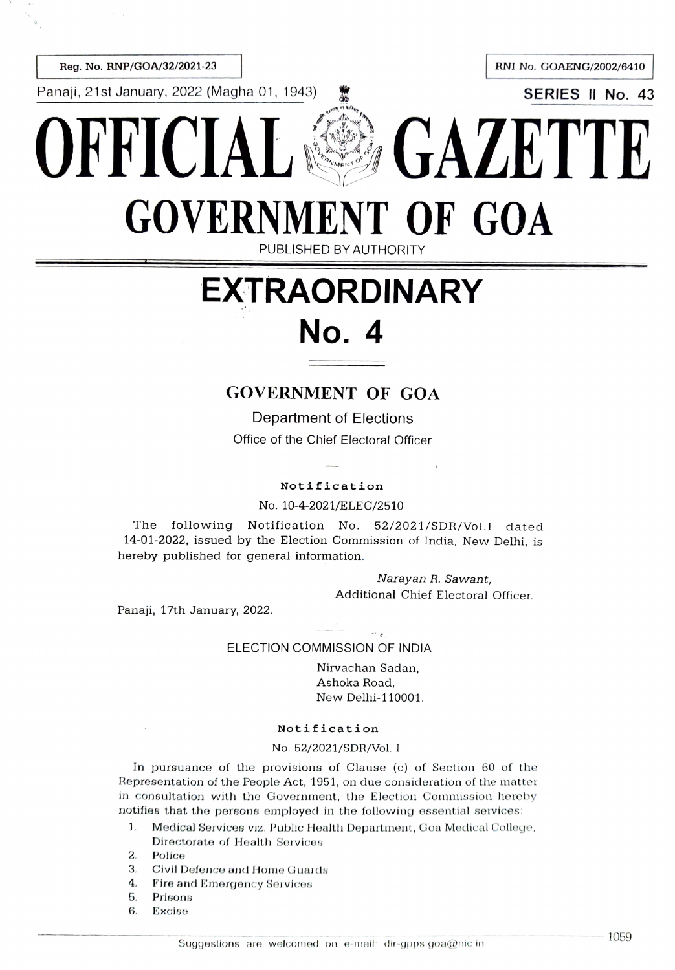Panaji, 21st January, 2022 (Magha 01, 1943) *鷩* SERIES II No. 43

Reg. No. RNP/GOA/32/2021-23 **Reg. No. RNP/GOA/32/2021-23** 

# FFICIAL SAL GAZETT GOVERNMENT OF GOA PUBLISHED BY AUTHORITY

## EXTRAORDINARY No. 4

### GOVERNMENT OF GOA

Department of Elections Office of the Chief Electoral Officer

#### Notification

No. 10-4-2021/ELEC/2510

The following Notification No. 52/2021/SDR/Vol.I dated 14-01-2022, issued by the Election Commission of India, New Delhi, is hereby published for general information.

> Narayan R. Sawant, Additional Chief Electoral Officer.

Panaji, 17th January, 2022.

#### ELECTION COMMISSION OF INDIA

Nirvachan Sadan, Ashoka Road, New Delhi-110001.

#### Notification

#### No. 52/2021/SDR/Vol. I

In pursuance of the provisions of Clause (c) of Section 60 of the Representation of the People Act, 1951, on due consideration of the matter in consultation with the Government, the Election Commission hereby notifies that the persons employed in the following essential services:

 $\mathbf{1}$ . Medical Services viz. Public Health Department, Goa Medical College, Directorate of Health Services

2. Police

- 3 Civil Defence and Home Guards
- F'ire and Emergency Services 4.
- Prisons 5
- 6. Excise